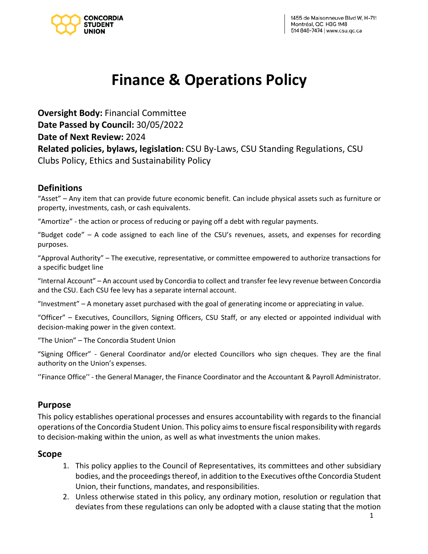

# **Finance & Operations Policy**

**Oversight Body:** Financial Committee **Date Passed by Council:** 30/05/2022 **Date of Next Review:** 2024 **Related policies, bylaws, legislation:** CSU By-Laws, CSU Standing Regulations, CSU Clubs Policy, Ethics and Sustainability Policy

## **Definitions**

"Asset" – Any item that can provide future economic benefit. Can include physical assets such as furniture or property, investments, cash, or cash equivalents.

"Amortize" - the action or process of reducing or paying off a debt with regular payments.

"Budget code" – A code assigned to each line of the CSU's revenues, assets, and expenses for recording purposes.

"Approval Authority" – The executive, representative, or committee empowered to authorize transactions for a specific budget line

"Internal Account" – An account used by Concordia to collect and transfer fee levy revenue between Concordia and the CSU. Each CSU fee levy has a separate internal account.

"Investment" – A monetary asset purchased with the goal of generating income or appreciating in value.

"Officer" – Executives, Councillors, Signing Officers, CSU Staff, or any elected or appointed individual with decision-making power in the given context.

"The Union" – The Concordia Student Union

"Signing Officer" - General Coordinator and/or elected Councillors who sign cheques. They are the final authority on the Union's expenses.

''Finance Office'' - the General Manager, the Finance Coordinator and the Accountant & Payroll Administrator.

## **Purpose**

This policy establishes operational processes and ensures accountability with regards to the financial operations of the Concordia Student Union. This policy aims to ensure fiscal responsibility with regards to decision-making within the union, as well as what investments the union makes.

## **Scope**

- 1. This policy applies to the Council of Representatives, its committees and other subsidiary bodies, and the proceedings thereof, in addition to the Executives ofthe Concordia Student Union, their functions, mandates, and responsibilities.
- 2. Unless otherwise stated in this policy, any ordinary motion, resolution or regulation that deviates from these regulations can only be adopted with a clause stating that the motion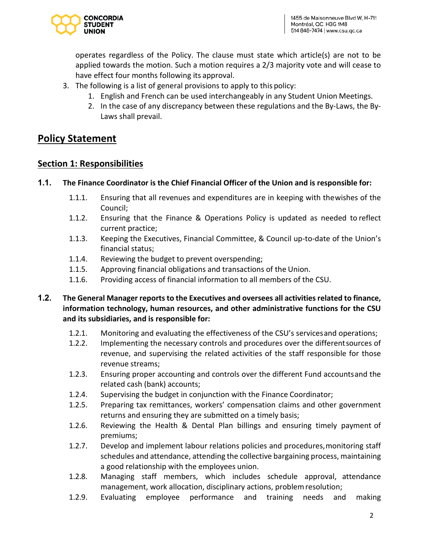

operates regardless of the Policy. The clause must state which article(s) are not to be applied towards the motion. Such a motion requires a 2/3 majority vote and will cease to have effect four months following its approval.

- 3. The following is a list of general provisions to apply to this policy:
	- 1. English and French can be used interchangeably in any Student Union Meetings.
	- 2. In the case of any discrepancy between these regulations and the By-Laws, the By-Laws shall prevail.

# **Policy Statement**

## **Section 1: Responsibilities**

#### **1.1. The Finance Coordinator is the Chief Financial Officer of the Union and is responsible for:**

- 1.1.1. Ensuring that all revenues and expenditures are in keeping with thewishes of the Council;
- 1.1.2. Ensuring that the Finance & Operations Policy is updated as needed to reflect current practice;
- 1.1.3. Keeping the Executives, Financial Committee, & Council up-to-date of the Union's financial status;
- 1.1.4. Reviewing the budget to prevent overspending;
- 1.1.5. Approving financial obligations and transactions of the Union.
- 1.1.6. Providing access of financial information to all members of the CSU.

#### **1.2. The General Manager reports to the Executives and oversees all activities related to finance, information technology, human resources, and other administrative functions for the CSU and its subsidiaries, and is responsible for:**

- 1.2.1. Monitoring and evaluating the effectiveness of the CSU's servicesand operations;
- 1.2.2. Implementing the necessary controls and procedures over the differentsources of revenue, and supervising the related activities of the staff responsible for those revenue streams;
- 1.2.3. Ensuring proper accounting and controls over the different Fund accountsand the related cash (bank) accounts;
- 1.2.4. Supervising the budget in conjunction with the Finance Coordinator;
- 1.2.5. Preparing tax remittances, workers' compensation claims and other government returns and ensuring they are submitted on a timely basis;
- 1.2.6. Reviewing the Health & Dental Plan billings and ensuring timely payment of premiums;
- 1.2.7. Develop and implement labour relations policies and procedures, monitoring staff schedules and attendance, attending the collective bargaining process, maintaining a good relationship with the employees union.
- 1.2.8. Managing staff members, which includes schedule approval, attendance management, work allocation, disciplinary actions, problemresolution;
- 1.2.9. Evaluating employee performance and training needs and making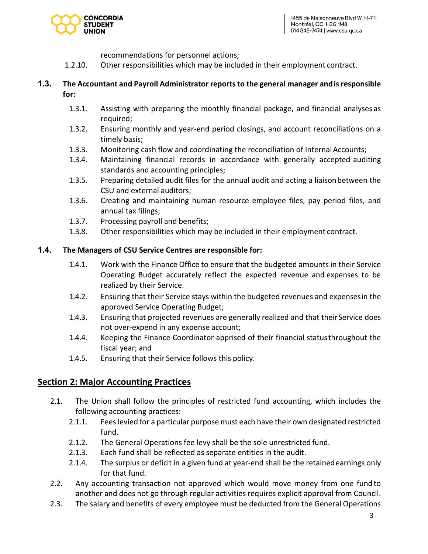

- recommendations for personnel actions;
- 1.2.10. Other responsibilities which may be included in their employment contract.

#### **1.3. The Accountant and Payroll Administrator reports to the general manager andis responsible for:**

- 1.3.1. Assisting with preparing the monthly financial package, and financial analyses as required;
- 1.3.2. Ensuring monthly and year-end period closings, and account reconciliations on a timely basis;
- 1.3.3. Monitoring cash flow and coordinating the reconciliation of Internal Accounts;
- 1.3.4. Maintaining financial records in accordance with generally accepted auditing standards and accounting principles;
- 1.3.5. Preparing detailed audit files for the annual audit and acting a liaisonbetween the CSU and external auditors;
- 1.3.6. Creating and maintaining human resource employee files, pay period files, and annual tax filings;
- 1.3.7. Processing payroll and benefits;
- 1.3.8. Other responsibilities which may be included in their employment contract.

#### **1.4. The Managers of CSU Service Centres are responsible for:**

- 1.4.1. Work with the Finance Office to ensure that the budgeted amounts in their Service Operating Budget accurately reflect the expected revenue and expenses to be realized by their Service.
- 1.4.2. Ensuring that their Service stays within the budgeted revenues and expensesin the approved Service Operating Budget;
- 1.4.3. Ensuring that projected revenues are generally realized and that their Service does not over-expend in any expense account;
- 1.4.4. Keeping the Finance Coordinator apprised of their financial statusthroughout the fiscal year; and
- 1.4.5. Ensuring that their Service follows this policy.

#### **Section 2: Major Accounting Practices**

- 2.1. The Union shall follow the principles of restricted fund accounting, which includes the following accounting practices:
	- 2.1.1. Fees levied for a particular purpose must each have their own designated restricted fund.
	- 2.1.2. The General Operations fee levy shall be the sole unrestricted fund.
	- 2.1.3. Each fund shall be reflected as separate entities in the audit.
	- 2.1.4. The surplus or deficit in a given fund at year-end shall be the retainedearnings only for that fund.
- 2.2. Any accounting transaction not approved which would move money from one fund to another and does not go through regular activities requires explicit approval from Council.
- 2.3. The salary and benefits of every employee must be deducted from the General Operations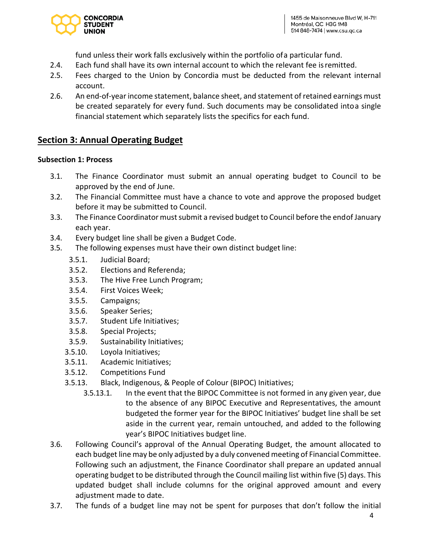

fund unless their work falls exclusively within the portfolio ofa particular fund.

- 2.4. Each fund shall have its own internal account to which the relevant fee isremitted.
- 2.5. Fees charged to the Union by Concordia must be deducted from the relevant internal account.
- 2.6. An end-of-year income statement, balance sheet, and statement of retained earnings must be created separately for every fund. Such documents may be consolidated intoa single financial statement which separately lists the specifics for each fund.

# **Section 3: Annual Operating Budget**

#### **Subsection 1: Process**

- 3.1. The Finance Coordinator must submit an annual operating budget to Council to be approved by the end of June.
- 3.2. The Financial Committee must have a chance to vote and approve the proposed budget before it may be submitted to Council.
- 3.3. The Finance Coordinator must submit a revised budget to Council before the endof January each year.
- 3.4. Every budget line shall be given a Budget Code.
- 3.5. The following expenses must have their own distinct budget line:
	- 3.5.1. Judicial Board;
	- 3.5.2. Elections and Referenda;
	- 3.5.3. The Hive Free Lunch Program;
	- 3.5.4. First Voices Week;
	- 3.5.5. Campaigns;
	- 3.5.6. Speaker Series;
	- 3.5.7. Student Life Initiatives;
	- 3.5.8. Special Projects;
	- 3.5.9. Sustainability Initiatives;
	- 3.5.10. Loyola Initiatives;
	- 3.5.11. Academic Initiatives;
	- 3.5.12. Competitions Fund
	- 3.5.13. Black, Indigenous, & People of Colour (BIPOC) Initiatives;
		- 3.5.13.1. In the event that the BIPOC Committee is not formed in any given year, due to the absence of any BIPOC Executive and Representatives, the amount budgeted the former year for the BIPOC Initiatives' budget line shall be set aside in the current year, remain untouched, and added to the following year's BIPOC Initiatives budget line.
- 3.6. Following Council's approval of the Annual Operating Budget, the amount allocated to each budget line may be only adjusted by a duly convened meeting of Financial Committee. Following such an adjustment, the Finance Coordinator shall prepare an updated annual operating budget to be distributed through the Council mailing list within five (5) days. This updated budget shall include columns for the original approved amount and every adjustment made to date.
- 3.7. The funds of a budget line may not be spent for purposes that don't follow the initial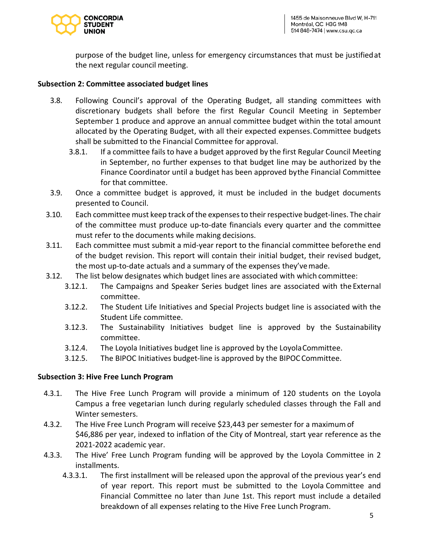

purpose of the budget line, unless for emergency circumstances that must be justifiedat the next regular council meeting.

#### **Subsection 2: Committee associated budget lines**

- 3.8. Following Council's approval of the Operating Budget, all standing committees with discretionary budgets shall before the first Regular Council Meeting in September September 1 produce and approve an annual committee budget within the total amount allocated by the Operating Budget, with all their expected expenses.Committee budgets shall be submitted to the Financial Committee for approval.
	- 3.8.1. If a committee fails to have a budget approved by the first Regular Council Meeting in September, no further expenses to that budget line may be authorized by the Finance Coordinator until a budget has been approved bythe Financial Committee for that committee.
- 3.9. Once a committee budget is approved, it must be included in the budget documents presented to Council.
- 3.10. Each committee must keep track of the expenses to their respective budget-lines. The chair of the committee must produce up-to-date financials every quarter and the committee must refer to the documents while making decisions.
- 3.11. Each committee must submit a mid-year report to the financial committee beforethe end of the budget revision. This report will contain their initial budget, their revised budget, the most up-to-date actuals and a summary of the expenses they'vemade.
- 3.12. The list below designates which budget lines are associated with which committee:
	- 3.12.1. The Campaigns and Speaker Series budget lines are associated with the External committee.
	- 3.12.2. The Student Life Initiatives and Special Projects budget line is associated with the Student Life committee.
	- 3.12.3. The Sustainability Initiatives budget line is approved by the Sustainability committee.
	- 3.12.4. The Loyola Initiatives budget line is approved by the LoyolaCommittee.
	- 3.12.5. The BIPOC Initiatives budget-line is approved by the BIPOC Committee.

#### **Subsection 3: Hive Free Lunch Program**

- 4.3.1. The Hive Free Lunch Program will provide a minimum of 120 students on the Loyola Campus a free vegetarian lunch during regularly scheduled classes through the Fall and Winter semesters.
- 4.3.2. The Hive Free Lunch Program will receive \$23,443 per semester for a maximum of \$46,886 per year, indexed to inflation of the City of Montreal, start year reference as the 2021-2022 academic year.
- 4.3.3. The Hive' Free Lunch Program funding will be approved by the Loyola Committee in 2 installments.
	- 4.3.3.1. The first installment will be released upon the approval of the previous year's end of year report. This report must be submitted to the Loyola Committee and Financial Committee no later than June 1st. This report must include a detailed breakdown of all expenses relating to the Hive Free Lunch Program.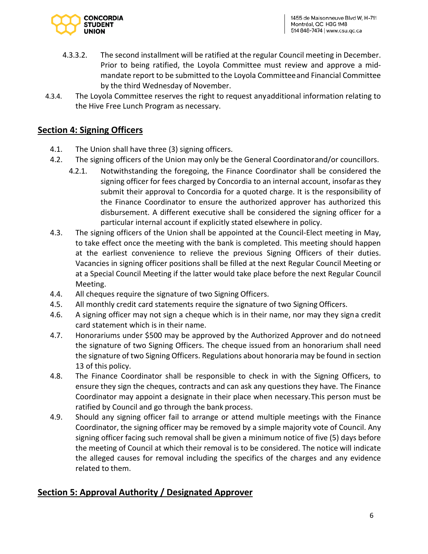

- 4.3.3.2. The second installment will be ratified at the regular Council meeting in December. Prior to being ratified, the Loyola Committee must review and approve a midmandate report to be submitted to the Loyola Committeeand Financial Committee by the third Wednesday of November.
- 4.3.4. The Loyola Committee reserves the right to request anyadditional information relating to the Hive Free Lunch Program as necessary.

# **Section 4: Signing Officers**

- 4.1. The Union shall have three (3) signing officers.
- 4.2. The signing officers of the Union may only be the General Coordinatorand/or councillors.
	- 4.2.1. Notwithstanding the foregoing, the Finance Coordinator shall be considered the signing officer for fees charged by Concordia to an internal account, insofaras they submit their approval to Concordia for a quoted charge. It is the responsibility of the Finance Coordinator to ensure the authorized approver has authorized this disbursement. A different executive shall be considered the signing officer for a particular internal account if explicitly stated elsewhere in policy.
- 4.3. The signing officers of the Union shall be appointed at the Council-Elect meeting in May, to take effect once the meeting with the bank is completed. This meeting should happen at the earliest convenience to relieve the previous Signing Officers of their duties. Vacancies in signing officer positions shall be filled at the next Regular Council Meeting or at a Special Council Meeting if the latter would take place before the next Regular Council Meeting.
- 4.4. All cheques require the signature of two Signing Officers.
- 4.5. All monthly credit card statements require the signature of two Signing Officers.
- 4.6. A signing officer may not sign a cheque which is in their name, nor may they signa credit card statement which is in their name.
- 4.7. Honorariums under \$500 may be approved by the Authorized Approver and do notneed the signature of two Signing Officers. The cheque issued from an honorarium shall need the signature of two Signing Officers. Regulations about honoraria may be found in section 13 of this policy.
- 4.8. The Finance Coordinator shall be responsible to check in with the Signing Officers, to ensure they sign the cheques, contracts and can ask any questions they have. The Finance Coordinator may appoint a designate in their place when necessary.This person must be ratified by Council and go through the bank process.
- 4.9. Should any signing officer fail to arrange or attend multiple meetings with the Finance Coordinator, the signing officer may be removed by a simple majority vote of Council. Any signing officer facing such removal shall be given a minimum notice of five (5) days before the meeting of Council at which their removal is to be considered. The notice will indicate the alleged causes for removal including the specifics of the charges and any evidence related to them.

# **Section 5: Approval Authority / Designated Approver**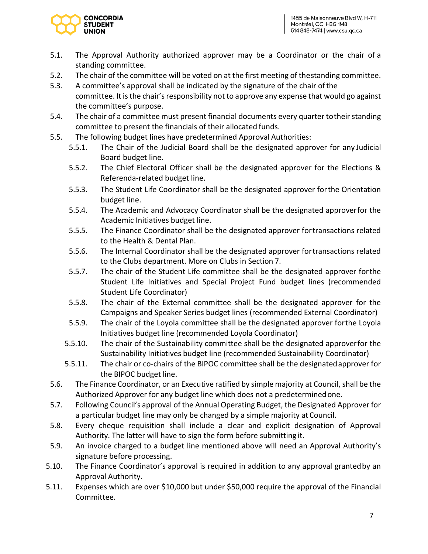

- 5.1. The Approval Authority authorized approver may be a Coordinator or the chair of a standing committee.
- 5.2. The chair of the committee will be voted on at the first meeting of thestanding committee.
- 5.3. A committee's approval shall be indicated by the signature of the chair ofthe committee. It is the chair's responsibility not to approve any expense that would go against the committee's purpose.
- 5.4. The chair of a committee must present financial documents every quarter totheir standing committee to present the financials of their allocated funds.
- 5.5. The following budget lines have predetermined Approval Authorities:
	- 5.5.1. The Chair of the Judicial Board shall be the designated approver for any Judicial Board budget line.
	- 5.5.2. The Chief Electoral Officer shall be the designated approver for the Elections & Referenda-related budget line.
	- 5.5.3. The Student Life Coordinator shall be the designated approver forthe Orientation budget line.
	- 5.5.4. The Academic and Advocacy Coordinator shall be the designated approverfor the Academic Initiatives budget line.
	- 5.5.5. The Finance Coordinator shall be the designated approver fortransactions related to the Health & Dental Plan.
	- 5.5.6. The Internal Coordinator shall be the designated approver fortransactions related to the Clubs department. More on Clubs in Section 7.
	- 5.5.7. The chair of the Student Life committee shall be the designated approver forthe Student Life Initiatives and Special Project Fund budget lines (recommended Student Life Coordinator)
	- 5.5.8. The chair of the External committee shall be the designated approver for the Campaigns and Speaker Series budget lines (recommended External Coordinator)
	- 5.5.9. The chair of the Loyola committee shall be the designated approver forthe Loyola Initiatives budget line (recommended Loyola Coordinator)
	- 5.5.10. The chair of the Sustainability committee shall be the designated approverfor the Sustainability Initiatives budget line (recommended Sustainability Coordinator)
	- 5.5.11. The chair or co-chairs of the BIPOC committee shall be the designatedapprover for the BIPOC budget line.
- 5.6. The Finance Coordinator, or an Executive ratified by simple majority at Council, shall be the Authorized Approver for any budget line which does not a predeterminedone.
- 5.7. Following Council's approval of the Annual Operating Budget, the Designated Approver for a particular budget line may only be changed by a simple majority at Council.
- 5.8. Every cheque requisition shall include a clear and explicit designation of Approval Authority. The latter will have to sign the form before submitting it.
- 5.9. An invoice charged to a budget line mentioned above will need an Approval Authority's signature before processing.
- 5.10. The Finance Coordinator's approval is required in addition to any approval grantedby an Approval Authority.
- 5.11. Expenses which are over \$10,000 but under \$50,000 require the approval of the Financial Committee.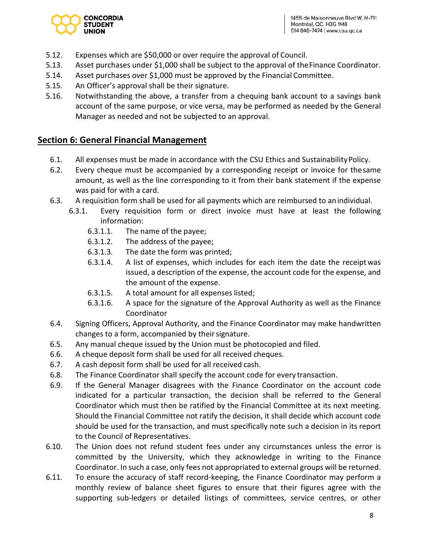

- 5.12. Expenses which are \$50,000 or over require the approval of Council.
- 5.13. Asset purchases under \$1,000 shall be subject to the approval of theFinance Coordinator.
- 5.14. Asset purchases over \$1,000 must be approved by the Financial Committee.
- 5.15. An Officer's approval shall be their signature.
- 5.16. Notwithstanding the above, a transfer from a chequing bank account to a savings bank account of the same purpose, or vice versa, may be performed as needed by the General Manager as needed and not be subjected to an approval.

#### **Section 6: General Financial Management**

- 6.1. All expenses must be made in accordance with the CSU Ethics and Sustainability Policy.
- 6.2. Every cheque must be accompanied by a corresponding receipt or invoice for thesame amount, as well as the line corresponding to it from their bank statement if the expense was paid for with a card.
- 6.3. A requisition form shall be used for all payments which are reimbursed to anindividual.
	- 6.3.1. Every requisition form or direct invoice must have at least the following information:
		- 6.3.1.1. The name of the payee;
		- 6.3.1.2. The address of the payee;
		- 6.3.1.3. The date the form was printed;
		- 6.3.1.4. A list of expenses, which includes for each item the date the receiptwas issued, a description of the expense, the account code for the expense, and the amount of the expense.
		- 6.3.1.5. A total amount for all expenses listed;
		- 6.3.1.6. A space for the signature of the Approval Authority as well as the Finance Coordinator
- 6.4. Signing Officers, Approval Authority, and the Finance Coordinator may make handwritten changes to a form, accompanied by their signature.
- 6.5. Any manual cheque issued by the Union must be photocopied and filed.
- 6.6. A cheque deposit form shall be used for all received cheques.
- 6.7. A cash deposit form shall be used for all received cash.
- 6.8. The Finance Coordinator shall specify the account code for every transaction.
- 6.9. If the General Manager disagrees with the Finance Coordinator on the account code indicated for a particular transaction, the decision shall be referred to the General Coordinator which must then be ratified by the Financial Committee at its next meeting. Should the Financial Committee not ratify the decision, it shall decide which account code should be used for the transaction, and must specifically note such a decision in its report to the Council of Representatives.
- 6.10. The Union does not refund student fees under any circumstances unless the error is committed by the University, which they acknowledge in writing to the Finance Coordinator. In such a case, only fees not appropriated to external groups will be returned.
- 6.11. To ensure the accuracy of staff record-keeping, the Finance Coordinator may perform a monthly review of balance sheet figures to ensure that their figures agree with the supporting sub-ledgers or detailed listings of committees, service centres, or other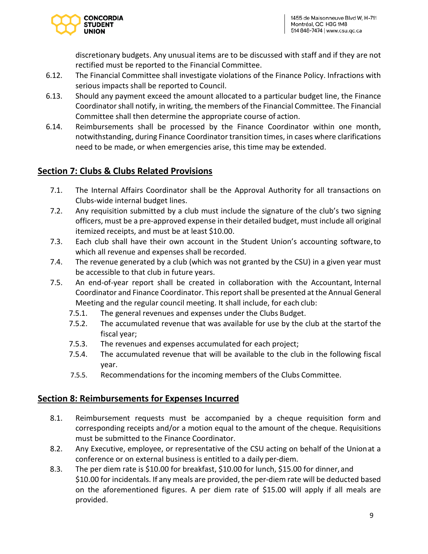

discretionary budgets. Any unusual items are to be discussed with staff and if they are not rectified must be reported to the Financial Committee.

- 6.12. The Financial Committee shall investigate violations of the Finance Policy. Infractions with serious impacts shall be reported to Council.
- 6.13. Should any payment exceed the amount allocated to a particular budget line, the Finance Coordinator shall notify, in writing, the members of the Financial Committee. The Financial Committee shall then determine the appropriate course of action.
- 6.14. Reimbursements shall be processed by the Finance Coordinator within one month, notwithstanding, during Finance Coordinator transition times, in cases where clarifications need to be made, or when emergencies arise, this time may be extended.

## **Section 7: Clubs & Clubs Related Provisions**

- 7.1. The Internal Affairs Coordinator shall be the Approval Authority for all transactions on Clubs-wide internal budget lines.
- 7.2. Any requisition submitted by a club must include the signature of the club's two signing officers, must be a pre-approved expense in their detailed budget, must include all original itemized receipts, and must be at least \$10.00.
- 7.3. Each club shall have their own account in the Student Union's accounting software,to which all revenue and expenses shall be recorded.
- 7.4. The revenue generated by a club (which was not granted by the CSU) in a given year must be accessible to that club in future years.
- 7.5. An end-of-year report shall be created in collaboration with the Accountant, Internal Coordinator and Finance Coordinator. This report shall be presented at the Annual General Meeting and the regular council meeting. It shall include, for each club:
	- 7.5.1. The general revenues and expenses under the Clubs Budget.
	- 7.5.2. The accumulated revenue that was available for use by the club at the startof the fiscal year;
	- 7.5.3. The revenues and expenses accumulated for each project;
	- 7.5.4. The accumulated revenue that will be available to the club in the following fiscal year.
	- 7.5.5. Recommendations for the incoming members of the Clubs Committee.

## **Section 8: Reimbursements for Expenses Incurred**

- 8.1. Reimbursement requests must be accompanied by a cheque requisition form and corresponding receipts and/or a motion equal to the amount of the cheque. Requisitions must be submitted to the Finance Coordinator.
- 8.2. Any Executive, employee, or representative of the CSU acting on behalf of the Unionat a conference or on external business is entitled to a daily per-diem.
- 8.3. The per diem rate is \$10.00 for breakfast, \$10.00 for lunch, \$15.00 for dinner, and \$10.00 for incidentals. If any meals are provided, the per-diem rate will be deducted based on the aforementioned figures. A per diem rate of \$15.00 will apply if all meals are provided.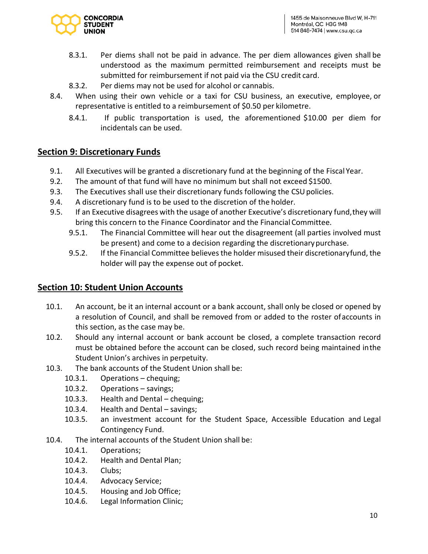

- 8.3.1. Per diems shall not be paid in advance. The per diem allowances given shall be understood as the maximum permitted reimbursement and receipts must be submitted for reimbursement if not paid via the CSU credit card.
- 8.3.2. Per diems may not be used for alcohol or cannabis.
- 8.4. When using their own vehicle or a taxi for CSU business, an executive, employee, or representative is entitled to a reimbursement of \$0.50 per kilometre.
	- 8.4.1. If public transportation is used, the aforementioned \$10.00 per diem for incidentals can be used.

## **Section 9: Discretionary Funds**

- 9.1. All Executives will be granted a discretionary fund at the beginning of the Fiscal Year.
- 9.2. The amount of that fund will have no minimum but shall not exceed \$1500.
- 9.3. The Executives shall use their discretionary funds following the CSU policies.
- 9.4. A discretionary fund is to be used to the discretion of the holder.
- 9.5. If an Executive disagrees with the usage of another Executive's discretionary fund,they will bring this concern to the Finance Coordinator and the Financial Committee.
	- 9.5.1. The Financial Committee will hear out the disagreement (all parties involved must be present) and come to a decision regarding the discretionarypurchase.
	- 9.5.2. If the Financial Committee believes the holder misused their discretionaryfund, the holder will pay the expense out of pocket.

## **Section 10: Student Union Accounts**

- 10.1. An account, be it an internal account or a bank account, shall only be closed or opened by a resolution of Council, and shall be removed from or added to the roster ofaccounts in this section, as the case may be.
- 10.2. Should any internal account or bank account be closed, a complete transaction record must be obtained before the account can be closed, such record being maintained inthe Student Union's archives in perpetuity.
- 10.3. The bank accounts of the Student Union shall be:
	- 10.3.1. Operations chequing;
	- 10.3.2. Operations savings;
	- 10.3.3. Health and Dental chequing;
	- 10.3.4. Health and Dental savings;
	- 10.3.5. an investment account for the Student Space, Accessible Education and Legal Contingency Fund.
- 10.4. The internal accounts of the Student Union shall be:
	- 10.4.1. Operations;
	- 10.4.2. Health and Dental Plan;
	- 10.4.3. Clubs;
	- 10.4.4. Advocacy Service;
	- 10.4.5. Housing and Job Office;
	- 10.4.6. Legal Information Clinic;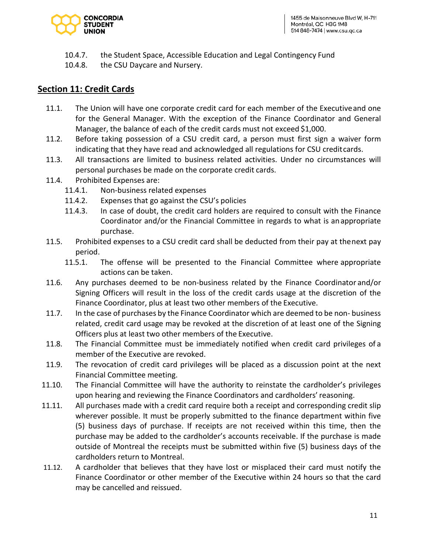

- 10.4.7. the Student Space, Accessible Education and Legal Contingency Fund
- 10.4.8. the CSU Daycare and Nursery.

# **Section 11: Credit Cards**

- 11.1. The Union will have one corporate credit card for each member of the Executiveand one for the General Manager. With the exception of the Finance Coordinator and General Manager, the balance of each of the credit cards must not exceed \$1,000.
- 11.2. Before taking possession of a CSU credit card, a person must first sign a waiver form indicating that they have read and acknowledged all regulations for CSU creditcards.
- 11.3. All transactions are limited to business related activities. Under no circumstances will personal purchases be made on the corporate credit cards.
- 11.4. Prohibited Expenses are:
	- 11.4.1. Non-business related expenses
	- 11.4.2. Expenses that go against the CSU's policies
	- 11.4.3. In case of doubt, the credit card holders are required to consult with the Finance Coordinator and/or the Financial Committee in regards to what is anappropriate purchase.
- 11.5. Prohibited expenses to a CSU credit card shall be deducted from their pay at thenext pay period.
	- 11.5.1. The offense will be presented to the Financial Committee where appropriate actions can be taken.
- 11.6. Any purchases deemed to be non-business related by the Finance Coordinator and/or Signing Officers will result in the loss of the credit cards usage at the discretion of the Finance Coordinator, plus at least two other members of the Executive.
- 11.7. In the case of purchases by the Finance Coordinator which are deemed to be non- business related, credit card usage may be revoked at the discretion of at least one of the Signing Officers plus at least two other members of the Executive.
- 11.8. The Financial Committee must be immediately notified when credit card privileges of a member of the Executive are revoked.
- 11.9. The revocation of credit card privileges will be placed as a discussion point at the next Financial Committee meeting.
- 11.10. The Financial Committee will have the authority to reinstate the cardholder's privileges upon hearing and reviewing the Finance Coordinators and cardholders' reasoning.
- 11.11. All purchases made with a credit card require both a receipt and corresponding credit slip wherever possible. It must be properly submitted to the finance department within five (5) business days of purchase. If receipts are not received within this time, then the purchase may be added to the cardholder's accounts receivable. If the purchase is made outside of Montreal the receipts must be submitted within five (5) business days of the cardholders return to Montreal.
- 11.12. A cardholder that believes that they have lost or misplaced their card must notify the Finance Coordinator or other member of the Executive within 24 hours so that the card may be cancelled and reissued.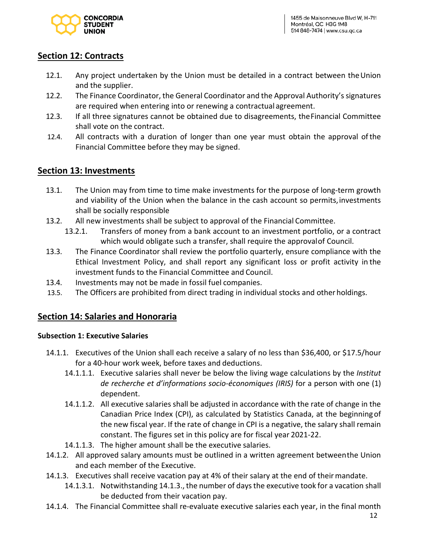

## **Section 12: Contracts**

- 12.1. Any project undertaken by the Union must be detailed in a contract between theUnion and the supplier.
- 12.2. The Finance Coordinator, the General Coordinator and the Approval Authority's signatures are required when entering into or renewing a contractual agreement.
- 12.3. If all three signatures cannot be obtained due to disagreements, theFinancial Committee shall vote on the contract.
- 12.4. All contracts with a duration of longer than one year must obtain the approval ofthe Financial Committee before they may be signed.

#### **Section 13: Investments**

- 13.1. The Union may from time to time make investments for the purpose of long-term growth and viability of the Union when the balance in the cash account so permits, investments shall be socially responsible
- 13.2. All new investments shall be subject to approval of the Financial Committee.
	- 13.2.1. Transfers of money from a bank account to an investment portfolio, or a contract which would obligate such a transfer, shall require the approvalof Council.
- 13.3. The Finance Coordinator shall review the portfolio quarterly, ensure compliance with the Ethical Investment Policy, and shall report any significant loss or profit activity in the investment funds to the Financial Committee and Council.
- 13.4. Investments may not be made in fossil fuel companies.
- 13.5. The Officers are prohibited from direct trading in individual stocks and otherholdings.

## **Section 14: Salaries and Honoraria**

#### **Subsection 1: Executive Salaries**

- 14.1.1. Executives of the Union shall each receive a salary of no less than \$36,400, or \$17.5/hour for a 40-hour work week, before taxes and deductions.
	- 14.1.1.1. Executive salaries shall never be below the living wage calculations by the *Institut de recherche et d'informations socio-économiques (IRIS)* for a person with one (1) dependent.
	- 14.1.1.2. All executive salaries shall be adjusted in accordance with the rate of change in the Canadian Price Index (CPI), as calculated by Statistics Canada, at the beginningof the new fiscal year. If the rate of change in CPI is a negative, the salary shall remain constant. The figures set in this policy are for fiscal year 2021-22.
	- 14.1.1.3. The higher amount shall be the executive salaries.
- 14.1.2. All approved salary amounts must be outlined in a written agreement betweenthe Union and each member of the Executive.
- 14.1.3. Executives shall receive vacation pay at 4% of their salary at the end of their mandate.
	- 14.1.3.1. Notwithstanding 14.1.3., the number of daysthe executive took for a vacation shall be deducted from their vacation pay.
- 14.1.4. The Financial Committee shall re-evaluate executive salaries each year, in the final month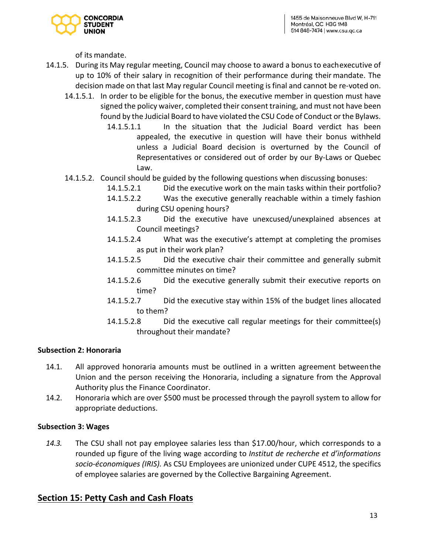

of its mandate.

- 14.1.5. During its May regular meeting, Council may choose to award a bonus to eachexecutive of up to 10% of their salary in recognition of their performance during their mandate. The decision made on that last May regular Council meeting is final and cannot be re-voted on.
	- 14.1.5.1. In order to be eligible for the bonus, the executive member in question must have signed the policy waiver, completed their consent training, and must not have been found by the Judicial Board to have violated the CSU Code of Conduct or the Bylaws.
		- 14.1.5.1.1 In the situation that the Judicial Board verdict has been appealed, the executive in question will have their bonus withheld unless a Judicial Board decision is overturned by the Council of Representatives or considered out of order by our By-Laws or Quebec Law.
	- 14.1.5.2. Council should be guided by the following questions when discussing bonuses:
		- 14.1.5.2.1 Did the executive work on the main tasks within their portfolio?
		- 14.1.5.2.2 Was the executive generally reachable within a timely fashion during CSU opening hours?
		- 14.1.5.2.3 Did the executive have unexcused/unexplained absences at Council meetings?
		- 14.1.5.2.4 What was the executive's attempt at completing the promises as put in their work plan?
		- 14.1.5.2.5 Did the executive chair their committee and generally submit committee minutes on time?
		- 14.1.5.2.6 Did the executive generally submit their executive reports on time?
		- 14.1.5.2.7 Did the executive stay within 15% of the budget lines allocated to them?
		- 14.1.5.2.8 Did the executive call regular meetings for their committee(s) throughout their mandate?

#### **Subsection 2: Honoraria**

- 14.1. All approved honoraria amounts must be outlined in a written agreement betweenthe Union and the person receiving the Honoraria, including a signature from the Approval Authority plus the Finance Coordinator.
- 14.2. Honoraria which are over \$500 must be processed through the payroll system to allow for appropriate deductions.

#### **Subsection 3: Wages**

*14.3.* The CSU shall not pay employee salaries less than \$17.00/hour, which corresponds to a rounded up figure of the living wage according to *Institut de recherche et d'informations socio-économiques (IRIS).* As CSU Employees are unionized under CUPE 4512, the specifics of employee salaries are governed by the Collective Bargaining Agreement.

## **Section 15: Petty Cash and Cash Floats**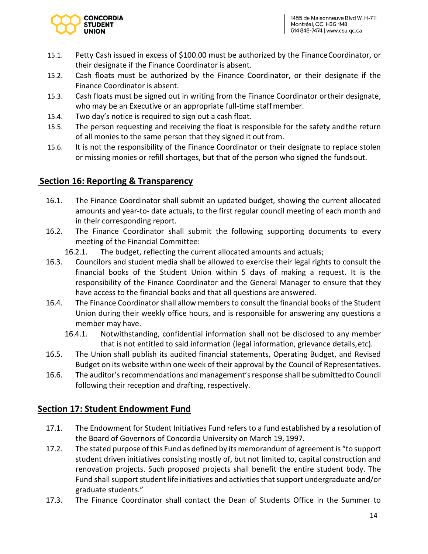

- 15.1. Petty Cash issued in excess of \$100.00 must be authorized by the FinanceCoordinator, or their designate if the Finance Coordinator is absent.
- 15.2. Cash floats must be authorized by the Finance Coordinator, or their designate if the Finance Coordinator is absent.
- 15.3. Cash floats must be signed out in writing from the Finance Coordinator ortheir designate, who may be an Executive or an appropriate full-time staffmember.
- 15.4. Two day's notice is required to sign out a cash float.
- 15.5. The person requesting and receiving the float is responsible for the safety andthe return of all monies to the same person that they signed it outfrom.
- 15.6. It is not the responsibility of the Finance Coordinator or their designate to replace stolen or missing monies or refill shortages, but that of the person who signed the fundsout.

# **Section 16: Reporting & Transparency**

- 16.1. The Finance Coordinator shall submit an updated budget, showing the current allocated amounts and year-to- date actuals, to the first regular council meeting of each month and in their corresponding report.
- 16.2. The Finance Coordinator shall submit the following supporting documents to every meeting of the Financial Committee:
	- 16.2.1. The budget, reflecting the current allocated amounts and actuals;
- 16.3. Councilors and student media shall be allowed to exercise their legal rights to consult the financial books of the Student Union within 5 days of making a request. It is the responsibility of the Finance Coordinator and the General Manager to ensure that they have access to the financial books and that all questions are answered.
- 16.4. The Finance Coordinator shall allow members to consult the financial books of the Student Union during their weekly office hours, and is responsible for answering any questions a member may have.
	- 16.4.1. Notwithstanding, confidential information shall not be disclosed to any member that is not entitled to said information (legal information, grievance details,etc).
- 16.5. The Union shall publish its audited financial statements, Operating Budget, and Revised Budget on its website within one week of their approval by the Council of Representatives.
- 16.6. The auditor's recommendations and management's response shall be submittedto Council following their reception and drafting, respectively.

# **Section 17: Student Endowment Fund**

- 17.1. The Endowment for Student Initiatives Fund refers to a fund established by a resolution of the Board of Governors of Concordia University on March 19, 1997.
- 17.2. The stated purpose of this Fund as defined by its memorandum of agreement is "to support student driven initiatives consisting mostly of, but not limited to, capital construction and renovation projects. Such proposed projects shall benefit the entire student body. The Fund shall support student life initiatives and activities that support undergraduate and/or graduate students."
- 17.3. The Finance Coordinator shall contact the Dean of Students Office in the Summer to